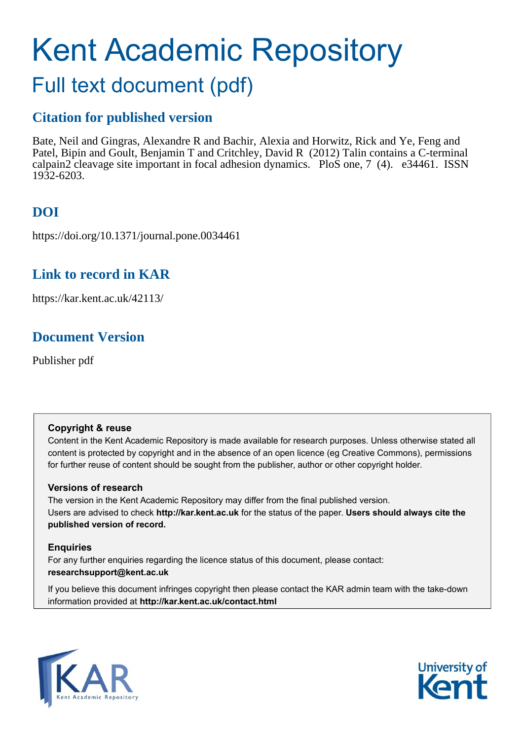# Kent Academic Repository

## Full text document (pdf)

## **Citation for published version**

Bate, Neil and Gingras, Alexandre R and Bachir, Alexia and Horwitz, Rick and Ye, Feng and Patel, Bipin and Goult, Benjamin T and Critchley, David R (2012) Talin contains a C-terminal calpain2 cleavage site important in focal adhesion dynamics. PloS one, 7 (4). e34461. ISSN 1932-6203.

## **DOI**

https://doi.org/10.1371/journal.pone.0034461

### **Link to record in KAR**

https://kar.kent.ac.uk/42113/

## **Document Version**

Publisher pdf

#### **Copyright & reuse**

Content in the Kent Academic Repository is made available for research purposes. Unless otherwise stated all content is protected by copyright and in the absence of an open licence (eg Creative Commons), permissions for further reuse of content should be sought from the publisher, author or other copyright holder.

#### **Versions of research**

The version in the Kent Academic Repository may differ from the final published version. Users are advised to check **http://kar.kent.ac.uk** for the status of the paper. **Users should always cite the published version of record.**

#### **Enquiries**

For any further enquiries regarding the licence status of this document, please contact: **researchsupport@kent.ac.uk**

If you believe this document infringes copyright then please contact the KAR admin team with the take-down information provided at **http://kar.kent.ac.uk/contact.html**



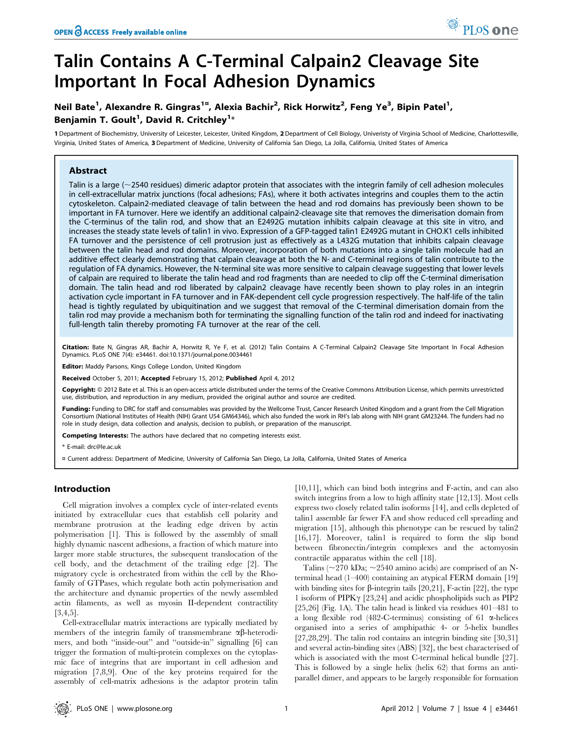## Talin Contains A C-Terminal Calpain2 Cleavage Site Important In Focal Adhesion Dynamics

#### Neil Bate<sup>1</sup>, Alexandre R. Gingras<sup>1¤</sup>, Alexia Bachir<sup>2</sup>, Rick Horwitz<sup>2</sup>, Feng Ye<sup>3</sup>, Bipin Patel<sup>1</sup>, Benjamin T. Goult<sup>1</sup>, David R. Critchley<sup>1</sup>\*

1 Department of Biochemistry, University of Leicester, Leicester, United Kingdom, 2 Department of Cell Biology, Univeristy of Virginia School of Medicine, Charlottesville, Virginia, United States of America, 3Department of Medicine, University of California San Diego, La Jolla, California, United States of America

#### Abstract

Talin is a large ( $\sim$ 2540 residues) dimeric adaptor protein that associates with the integrin family of cell adhesion molecules in cell-extracellular matrix junctions (focal adhesions; FAs), where it both activates integrins and couples them to the actin cytoskeleton. Calpain2-mediated cleavage of talin between the head and rod domains has previously been shown to be important in FA turnover. Here we identify an additional calpain2-cleavage site that removes the dimerisation domain from the C-terminus of the talin rod, and show that an E2492G mutation inhibits calpain cleavage at this site in vitro, and increases the steady state levels of talin1 in vivo. Expression of a GFP-tagged talin1 E2492G mutant in CHO.K1 cells inhibited FA turnover and the persistence of cell protrusion just as effectively as a L432G mutation that inhibits calpain cleavage between the talin head and rod domains. Moreover, incorporation of both mutations into a single talin molecule had an additive effect clearly demonstrating that calpain cleavage at both the N- and C-terminal regions of talin contribute to the regulation of FA dynamics. However, the N-terminal site was more sensitive to calpain cleavage suggesting that lower levels of calpain are required to liberate the talin head and rod fragments than are needed to clip off the C-terminal dimerisation domain. The talin head and rod liberated by calpain2 cleavage have recently been shown to play roles in an integrin activation cycle important in FA turnover and in FAK-dependent cell cycle progression respectively. The half-life of the talin head is tightly regulated by ubiquitination and we suggest that removal of the C-terminal dimerisation domain from the talin rod may provide a mechanism both for terminating the signalling function of the talin rod and indeed for inactivating full-length talin thereby promoting FA turnover at the rear of the cell.

Citation: Bate N, Gingras AR, Bachir A, Horwitz R, Ye F, et al. (2012) Talin Contains A C-Terminal Calpain2 Cleavage Site Important In Focal Adhesion Dynamics. PLoS ONE 7(4): e34461. doi:10.1371/journal.pone.0034461

Editor: Maddy Parsons, Kings College London, United Kingdom

Received October 5, 2011; Accepted February 15, 2012; Published April 4, 2012

**Copyright:** © 2012 Bate et al. This is an open-access article distributed under the terms of the Creative Commons Attribution License, which permits unrestricted use, distribution, and reproduction in any medium, provided the original author and source are credited.

Funding: Funding to DRC for staff and consumables was provided by the Wellcome Trust, Cancer Research United Kingdom and a grant from the Cell Migration Consortium (National Institutes of Health (NIH) Grant U54 GM64346), which also funded the work in RH's lab along with NIH grant GM23244. The funders had no role in study design, data collection and analysis, decision to publish, or preparation of the manuscript.

Competing Interests: The authors have declared that no competing interests exist.

\* E-mail: drc@le.ac.uk

¤ Current address: Department of Medicine, University of California San Diego, La Jolla, California, United States of America

#### Introduction

Cell migration involves a complex cycle of inter-related events initiated by extracellular cues that establish cell polarity and membrane protrusion at the leading edge driven by actin polymerisation [1]. This is followed by the assembly of small highly dynamic nascent adhesions, a fraction of which mature into larger more stable structures, the subsequent translocation of the cell body, and the detachment of the trailing edge [2]. The migratory cycle is orchestrated from within the cell by the Rhofamily of GTPases, which regulate both actin polymerisation and the architecture and dynamic properties of the newly assembled actin filaments, as well as myosin II-dependent contractility [3,4,5].

Cell-extracellular matrix interactions are typically mediated by members of the integrin family of transmembrane  $\alpha\beta$ -heterodimers, and both ''inside-out'' and ''outside-in'' signalling [6] can trigger the formation of multi-protein complexes on the cytoplasmic face of integrins that are important in cell adhesion and migration [7,8,9]. One of the key proteins required for the assembly of cell-matrix adhesions is the adaptor protein talin

[10,11], which can bind both integrins and F-actin, and can also switch integrins from a low to high affinity state [12,13]. Most cells express two closely related talin isoforms [14], and cells depleted of talin1 assemble far fewer FA and show reduced cell spreading and migration [15], although this phenotype can be rescued by talin2 [16,17]. Moreover, talin1 is required to form the slip bond between fibronectin/integrin complexes and the actomyosin contractile apparatus within the cell [18].

Talins ( $\sim$ 270 kDa;  $\sim$ 2540 amino acids) are comprised of an Nterminal head (1–400) containing an atypical FERM domain [19] with binding sites for  $\beta$ -integrin tails [20,21], F-actin [22], the type 1 isoform of PIPK $\gamma$  [23,24] and acidic phospholipids such as PIP2 [25,26] (Fig. 1A). The talin head is linked via residues 401–481 to a long flexible rod  $(482$ -C-terminus) consisting of 61  $\alpha$ -helices organised into a series of amphipathic 4- or 5-helix bundles [27,28,29]. The talin rod contains an integrin binding site [30,31] and several actin-binding sites (ABS) [32], the best characterised of which is associated with the most C-terminal helical bundle [27]. This is followed by a single helix (helix 62) that forms an antiparallel dimer, and appears to be largely responsible for formation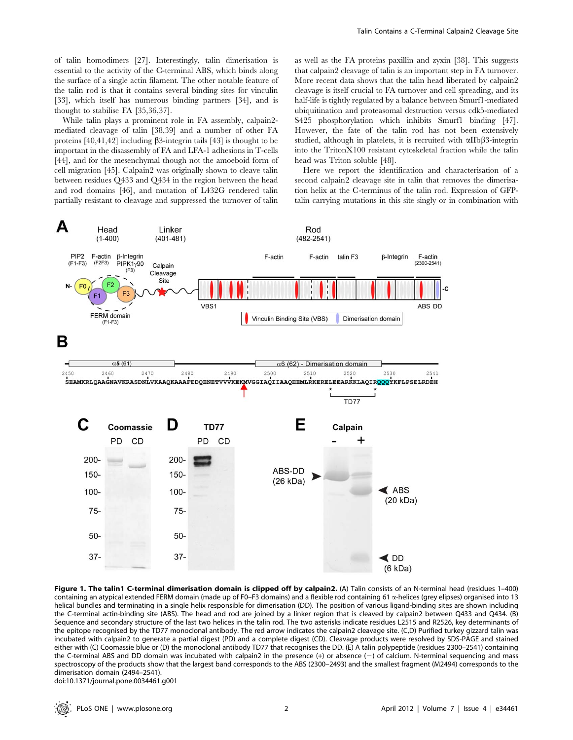of talin homodimers [27]. Interestingly, talin dimerisation is essential to the activity of the C-terminal ABS, which binds along the surface of a single actin filament. The other notable feature of the talin rod is that it contains several binding sites for vinculin [33], which itself has numerous binding partners [34], and is thought to stabilise FA [35,36,37].

While talin plays a prominent role in FA assembly, calpain2 mediated cleavage of talin [38,39] and a number of other FA proteins  $[40,41,42]$  including  $\beta$ 3-integrin tails  $[43]$  is thought to be important in the disassembly of FA and LFA-1 adhesions in T-cells [44], and for the mesenchymal though not the amoeboid form of cell migration [45]. Calpain2 was originally shown to cleave talin between residues Q433 and Q434 in the region between the head and rod domains [46], and mutation of L432G rendered talin partially resistant to cleavage and suppressed the turnover of talin as well as the FA proteins paxillin and zyxin [38]. This suggests that calpain2 cleavage of talin is an important step in FA turnover. More recent data shows that the talin head liberated by calpain2 cleavage is itself crucial to FA turnover and cell spreading, and its half-life is tightly regulated by a balance between Smurf1-mediated ubiquitination and proteasomal destruction versus cdk5-mediated S425 phosphorylation which inhibits Smurf1 binding [47]. However, the fate of the talin rod has not been extensively studied, although in platelets, it is recruited with  $\alpha$ IIb $\beta$ 3-integrin into the TritonX100 resistant cytoskeletal fraction while the talin head was Triton soluble [48].

Here we report the identification and characterisation of a second calpain2 cleavage site in talin that removes the dimerisation helix at the C-terminus of the talin rod. Expression of GFPtalin carrying mutations in this site singly or in combination with



Figure 1. The talin1 C-terminal dimerisation domain is clipped off by calpain2. (A) Talin consists of an N-terminal head (residues 1–400) containing an atypical extended FERM domain (made up of F0–F3 domains) and a flexible rod containing 61 a-helices (grey elipses) organised into 13 helical bundles and terminating in a single helix responsible for dimerisation (DD). The position of various ligand-binding sites are shown including the C-terminal actin-binding site (ABS). The head and rod are joined by a linker region that is cleaved by calpain2 between Q433 and Q434. (B) Sequence and secondary structure of the last two helices in the talin rod. The two asterisks indicate residues L2515 and R2526, key determinants of the epitope recognised by the TD77 monoclonal antibody. The red arrow indicates the calpain2 cleavage site. (C,D) Purified turkey gizzard talin was incubated with calpain2 to generate a partial digest (PD) and a complete digest (CD). Cleavage products were resolved by SDS-PAGE and stained either with (C) Coomassie blue or (D) the monoclonal antibody TD77 that recognises the DD. (E) A talin polypeptide (residues 2300–2541) containing the C-terminal ABS and DD domain was incubated with calpain2 in the presence  $(+)$  or absence  $(-)$  of calcium. N-terminal sequencing and mass spectroscopy of the products show that the largest band corresponds to the ABS (2300–2493) and the smallest fragment (M2494) corresponds to the dimerisation domain (2494–2541).

doi:10.1371/journal.pone.0034461.g001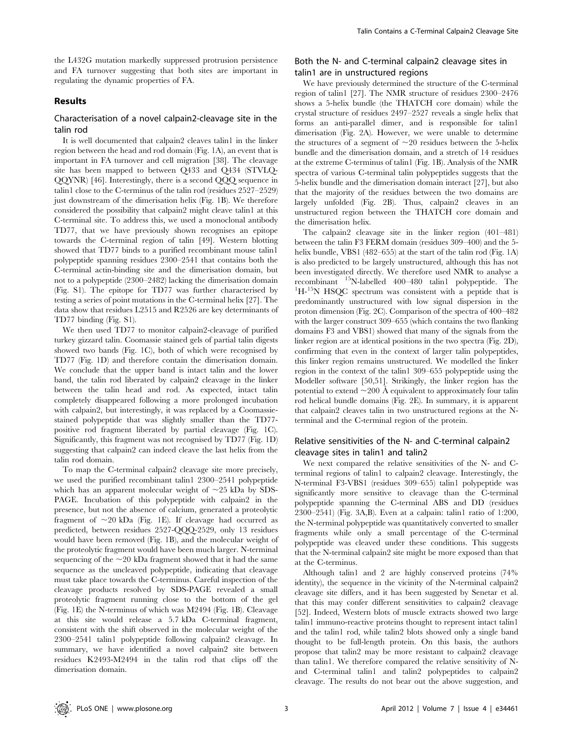the L432G mutation markedly suppressed protrusion persistence and FA turnover suggesting that both sites are important in regulating the dynamic properties of FA.

#### Results

#### Characterisation of a novel calpain2-cleavage site in the talin rod

It is well documented that calpain2 cleaves talin1 in the linker region between the head and rod domain (Fig. 1A), an event that is important in FA turnover and cell migration [38]. The cleavage site has been mapped to between Q433 and Q434 (STVLQ-QQYNR) [46]. Interestingly, there is a second QQQ sequence in talin1 close to the C-terminus of the talin rod (residues 2527–2529) just downstream of the dimerisation helix (Fig. 1B). We therefore considered the possibility that calpain2 might cleave talin1 at this C-terminal site. To address this, we used a monoclonal antibody TD77, that we have previously shown recognises an epitope towards the C-terminal region of talin [49]. Western blotting showed that TD77 binds to a purified recombinant mouse talin1 polypeptide spanning residues 2300–2541 that contains both the C-terminal actin-binding site and the dimerisation domain, but not to a polypeptide (2300–2482) lacking the dimerisation domain (Fig. S1). The epitope for TD77 was further characterised by testing a series of point mutations in the C-terminal helix [27]. The data show that residues L2515 and R2526 are key determinants of TD77 binding (Fig. S1).

We then used TD77 to monitor calpain2-cleavage of purified turkey gizzard talin. Coomassie stained gels of partial talin digests showed two bands (Fig. 1C), both of which were recognised by TD77 (Fig. 1D) and therefore contain the dimerisation domain. We conclude that the upper band is intact talin and the lower band, the talin rod liberated by calpain2 cleavage in the linker between the talin head and rod. As expected, intact talin completely disappeared following a more prolonged incubation with calpain2, but interestingly, it was replaced by a Coomassiestained polypeptide that was slightly smaller than the TD77 positive rod fragment liberated by partial cleavage (Fig. 1C). Significantly, this fragment was not recognised by TD77 (Fig. 1D) suggesting that calpain2 can indeed cleave the last helix from the talin rod domain.

To map the C-terminal calpain2 cleavage site more precisely, we used the purified recombinant talin1 2300–2541 polypeptide which has an apparent molecular weight of  $\sim$ 25 kDa by SDS-PAGE. Incubation of this polypeptide with calpain2 in the presence, but not the absence of calcium, generated a proteolytic fragment of  $\sim$ 20 kDa (Fig. 1E). If cleavage had occurred as predicted, between residues 2527-QQQ-2529, only 13 residues would have been removed (Fig. 1B), and the molecular weight of the proteolytic fragment would have been much larger. N-terminal sequencing of the  $\sim$ 20 kDa fragment showed that it had the same sequence as the uncleaved polypeptide, indicating that cleavage must take place towards the C-terminus. Careful inspection of the cleavage products resolved by SDS-PAGE revealed a small proteolytic fragment running close to the bottom of the gel (Fig. 1E) the N-terminus of which was M2494 (Fig. 1B). Cleavage at this site would release a 5.7 kDa C-terminal fragment, consistent with the shift observed in the molecular weight of the 2300–2541 talin1 polypeptide following calpain2 cleavage. In summary, we have identified a novel calpain2 site between residues K2493-M2494 in the talin rod that clips off the dimerisation domain.

#### Both the N- and C-terminal calpain2 cleavage sites in talin1 are in unstructured regions

We have previously determined the structure of the C-terminal region of talin1 [27]. The NMR structure of residues 2300–2476 shows a 5-helix bundle (the THATCH core domain) while the crystal structure of residues 2497–2527 reveals a single helix that forms an anti-parallel dimer, and is responsible for talin1 dimerisation (Fig. 2A). However, we were unable to determine the structures of a segment of  $\sim$ 20 residues between the 5-helix bundle and the dimerisation domain, and a stretch of 14 residues at the extreme C-terminus of talin1 (Fig. 1B). Analysis of the NMR spectra of various C-terminal talin polypeptides suggests that the 5-helix bundle and the dimerisation domain interact [27], but also that the majority of the residues between the two domains are largely unfolded (Fig. 2B). Thus, calpain2 cleaves in an unstructured region between the THATCH core domain and the dimerisation helix.

The calpain2 cleavage site in the linker region (401–481) between the talin F3 FERM domain (residues 309–400) and the 5 helix bundle, VBS1 (482–655) at the start of the talin rod (Fig. 1A) is also predicted to be largely unstructured, although this has not been investigated directly. We therefore used NMR to analyse a recombinant <sup>15</sup>N-labelled 400-480 talin1 polypeptide. The  ${}^{1}H^{-15}N$  HSQC spectrum was consistent with a peptide that is predominantly unstructured with low signal dispersion in the proton dimension (Fig. 2C). Comparison of the spectra of 400–482 with the larger construct 309–655 (which contains the two flanking domains F3 and VBS1) showed that many of the signals from the linker region are at identical positions in the two spectra (Fig. 2D), confirming that even in the context of larger talin polypeptides, this linker region remains unstructured. We modelled the linker region in the context of the talin1 309–655 polypeptide using the Modeller software [50,51]. Strikingly, the linker region has the potential to extend  $\sim$  200 Å equivalent to approximately four talin rod helical bundle domains (Fig. 2E). In summary, it is apparent that calpain2 cleaves talin in two unstructured regions at the Nterminal and the C-terminal region of the protein.

#### Relative sensitivities of the N- and C-terminal calpain2 cleavage sites in talin1 and talin2

We next compared the relative sensitivities of the N- and Cterminal regions of talin1 to calpain2 cleavage. Interestingly, the N-terminal F3-VBS1 (residues 309–655) talin1 polypeptide was significantly more sensitive to cleavage than the C-terminal polypeptide spanning the C-terminal ABS and DD (residues 2300–2541) (Fig. 3A,B). Even at a calpain: talin1 ratio of 1:200, the N-terminal polypeptide was quantitatively converted to smaller fragments while only a small percentage of the C-terminal polypeptide was cleaved under these conditions. This suggests that the N-terminal calpain2 site might be more exposed than that at the C-terminus.

Although talin1 and 2 are highly conserved proteins (74% identity), the sequence in the vicinity of the N-terminal calpain2 cleavage site differs, and it has been suggested by Senetar et al. that this may confer different sensitivities to calpain2 cleavage [52]. Indeed, Western blots of muscle extracts showed two large talin1 immuno-reactive proteins thought to represent intact talin1 and the talin1 rod, while talin2 blots showed only a single band thought to be full-length protein. On this basis, the authors propose that talin2 may be more resistant to calpain2 cleavage than talin1. We therefore compared the relative sensitivity of Nand C-terminal talin1 and talin2 polypeptides to calpain2 cleavage. The results do not bear out the above suggestion, and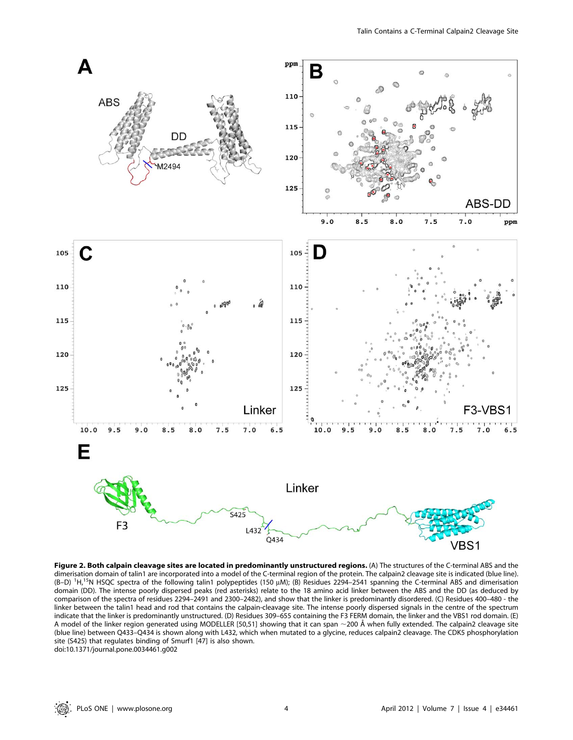

Figure 2. Both calpain cleavage sites are located in predominantly unstructured regions. (A) The structures of the C-terminal ABS and the dimerisation domain of talin1 are incorporated into a model of the C-terminal region of the protein. The calpain2 cleavage site is indicated (blue line). (B-D)<sup>1</sup>H,<sup>15</sup>N HSQC spectra of the following talin1 polypeptides (150 µM); (B) Residues 2294-2541 spanning the C-terminal ABS and dimerisation domain (DD). The intense poorly dispersed peaks (red asterisks) relate to the 18 amino acid linker between the ABS and the DD (as deduced by comparison of the spectra of residues 2294–2491 and 2300–2482), and show that the linker is predominantly disordered. (C) Residues 400–480 - the linker between the talin1 head and rod that contains the calpain-cleavage site. The intense poorly dispersed signals in the centre of the spectrum indicate that the linker is predominantly unstructured. (D) Residues 309–655 containing the F3 FERM domain, the linker and the VBS1 rod domain. (E) A model of the linker region generated using MODELLER [50,51] showing that it can span  $\sim$ 200 Å when fully extended. The calpain2 cleavage site (blue line) between Q433–Q434 is shown along with L432, which when mutated to a glycine, reduces calpain2 cleavage. The CDK5 phosphorylation site (S425) that regulates binding of Smurf1 [47] is also shown. doi:10.1371/journal.pone.0034461.g002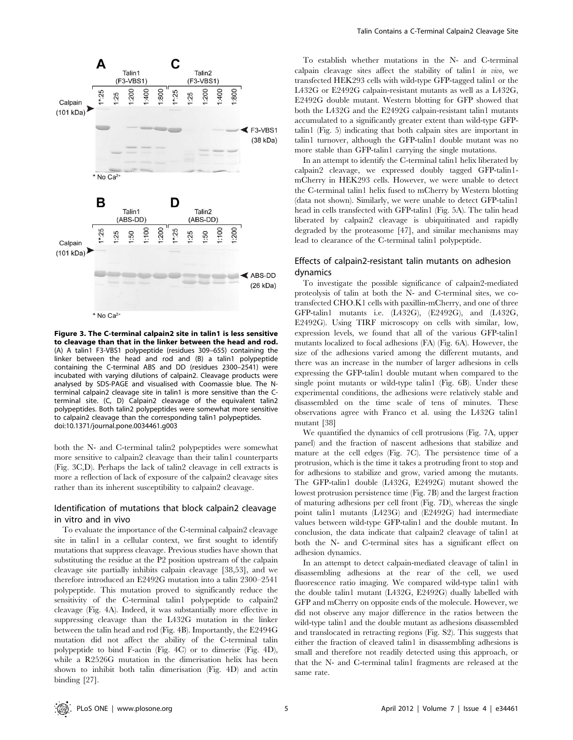

\* No Ca<sup>2+</sup>

Figure 3. The C-terminal calpain2 site in talin1 is less sensitive to cleavage than that in the linker between the head and rod. (A) A talin1 F3-VBS1 polypeptide (residues 309–655) containing the linker between the head and rod and (B) a talin1 polypeptide containing the C-terminal ABS and DD (residues 2300–2541) were incubated with varying dilutions of calpain2. Cleavage products were analysed by SDS-PAGE and visualised with Coomassie blue. The Nterminal calpain2 cleavage site in talin1 is more sensitive than the Cterminal site. (C, D) Calpain2 cleavage of the equivalent talin2 polypeptides. Both talin2 polypeptides were somewhat more sensitive to calpain2 cleavage than the corresponding talin1 polypeptides. doi:10.1371/journal.pone.0034461.g003

both the N- and C-terminal talin2 polypeptides were somewhat more sensitive to calpain2 cleavage than their talin1 counterparts (Fig. 3C,D). Perhaps the lack of talin2 cleavage in cell extracts is more a reflection of lack of exposure of the calpain2 cleavage sites rather than its inherent susceptibility to calpain2 cleavage.

#### Identification of mutations that block calpain2 cleavage in vitro and in vivo

To evaluate the importance of the C-terminal calpain2 cleavage site in talin1 in a cellular context, we first sought to identify mutations that suppress cleavage. Previous studies have shown that substituting the residue at the P2 position upstream of the calpain cleavage site partially inhibits calpain cleavage [38,53], and we therefore introduced an E2492G mutation into a talin 2300–2541 polypeptide. This mutation proved to significantly reduce the sensitivity of the C-terminal talin1 polypeptide to calpain2 cleavage (Fig. 4A). Indeed, it was substantially more effective in suppressing cleavage than the L432G mutation in the linker between the talin head and rod (Fig. 4B). Importantly, the E2494G mutation did not affect the ability of the C-terminal talin polypeptide to bind F-actin (Fig. 4C) or to dimerise (Fig. 4D), while a R2526G mutation in the dimerisation helix has been shown to inhibit both talin dimerisation (Fig. 4D) and actin binding [27].

To establish whether mutations in the N- and C-terminal calpain cleavage sites affect the stability of talin1 in vivo, we transfected HEK293 cells with wild-type GFP-tagged talin1 or the L432G or E2492G calpain-resistant mutants as well as a L432G, E2492G double mutant. Western blotting for GFP showed that both the L432G and the E2492G calpain-resistant talin1 mutants accumulated to a significantly greater extent than wild-type GFPtalin1 (Fig. 5) indicating that both calpain sites are important in talin1 turnover, although the GFP-talin1 double mutant was no more stable than GFP-talin1 carrying the single mutations.

In an attempt to identify the C-terminal talin1 helix liberated by calpain2 cleavage, we expressed doubly tagged GFP-talin1 mCherry in HEK293 cells. However, we were unable to detect the C-terminal talin1 helix fused to mCherry by Western blotting (data not shown). Similarly, we were unable to detect GFP-talin1 head in cells transfected with GFP-talin1 (Fig. 5A). The talin head liberated by calpain2 cleavage is ubiquitinated and rapidly degraded by the proteasome [47], and similar mechanisms may lead to clearance of the C-terminal talin1 polypeptide.

#### Effects of calpain2-resistant talin mutants on adhesion dynamics

To investigate the possible significance of calpain2-mediated proteolysis of talin at both the N- and C-terminal sites, we cotransfected CHO.K1 cells with paxillin-mCherry, and one of three GFP-talin1 mutants i.e. (L432G), (E2492G), and (L432G, E2492G). Using TIRF microscopy on cells with similar, low, expression levels, we found that all of the various GFP-talin1 mutants localized to focal adhesions (FA) (Fig. 6A). However, the size of the adhesions varied among the different mutants, and there was an increase in the number of larger adhesions in cells expressing the GFP-talin1 double mutant when compared to the single point mutants or wild-type talin1 (Fig. 6B). Under these experimental conditions, the adhesions were relatively stable and disassembled on the time scale of tens of minutes. These observations agree with Franco et al. using the L432G talin1 mutant [38]

We quantified the dynamics of cell protrusions (Fig. 7A, upper panel) and the fraction of nascent adhesions that stabilize and mature at the cell edges (Fig. 7C). The persistence time of a protrusion, which is the time it takes a protruding front to stop and for adhesions to stabilize and grow, varied among the mutants. The GFP-talin1 double (L432G, E2492G) mutant showed the lowest protrusion persistence time (Fig. 7B) and the largest fraction of maturing adhesions per cell front (Fig. 7D), whereas the single point talin1 mutants (L423G) and (E2492G) had intermediate values between wild-type GFP-talin1 and the double mutant. In conclusion, the data indicate that calpain2 cleavage of talin1 at both the N- and C-terminal sites has a significant effect on adhesion dynamics.

In an attempt to detect calpain-mediated cleavage of talin1 in disassembling adhesions at the rear of the cell, we used fluorescence ratio imaging. We compared wild-type talin1 with the double talin1 mutant (L432G, E2492G) dually labelled with GFP and mCherry on opposite ends of the molecule. However, we did not observe any major difference in the ratios between the wild-type talin1 and the double mutant as adhesions disassembled and translocated in retracting regions (Fig. S2). This suggests that either the fraction of cleaved talin1 in disassembling adhesions is small and therefore not readily detected using this approach, or that the N- and C-terminal talin1 fragments are released at the same rate.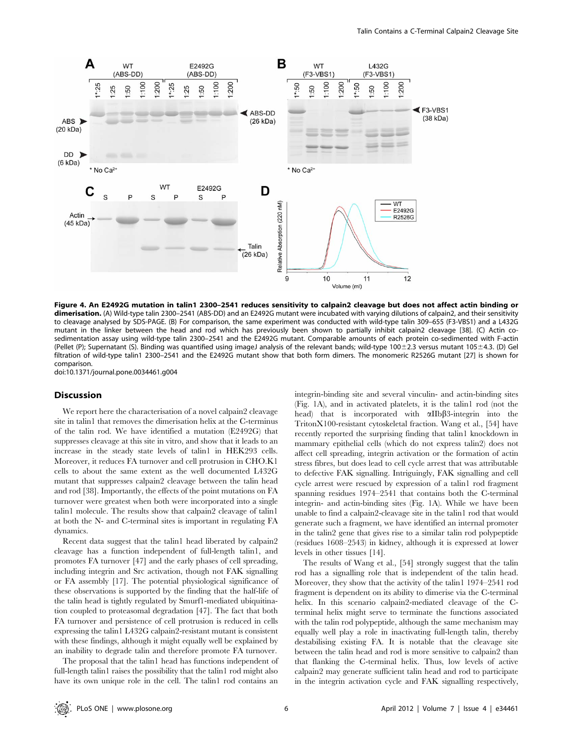

Figure 4. An E2492G mutation in talin1 2300–2541 reduces sensitivity to calpain2 cleavage but does not affect actin binding or dimerisation. (A) Wild-type talin 2300–2541 (ABS-DD) and an E2492G mutant were incubated with varying dilutions of calpain2, and their sensitivity to cleavage analysed by SDS-PAGE. (B) For comparison, the same experiment was conducted with wild-type talin 309–655 (F3-VBS1) and a L432G mutant in the linker between the head and rod which has previously been shown to partially inhibit calpain2 cleavage [38]. (C) Actin cosedimentation assay using wild-type talin 2300–2541 and the E2492G mutant. Comparable amounts of each protein co-sedimented with F-actin (Pellet (P); Supernatant (S). Binding was quantified using imageJ analysis of the relevant bands; wild-type 100 $\pm$ 2.3 versus mutant 105 $\pm$ 4.3. (D) Gel filtration of wild-type talin1 2300–2541 and the E2492G mutant show that both form dimers. The monomeric R2526G mutant [27] is shown for comparison.

doi:10.1371/journal.pone.0034461.g004

#### **Discussion**

We report here the characterisation of a novel calpain2 cleavage site in talin1 that removes the dimerisation helix at the C-terminus of the talin rod. We have identified a mutation (E2492G) that suppresses cleavage at this site in vitro, and show that it leads to an increase in the steady state levels of talin1 in HEK293 cells. Moreover, it reduces FA turnover and cell protrusion in CHO.K1 cells to about the same extent as the well documented L432G mutant that suppresses calpain2 cleavage between the talin head and rod [38]. Importantly, the effects of the point mutations on FA turnover were greatest when both were incorporated into a single talin1 molecule. The results show that calpain2 cleavage of talin1 at both the N- and C-terminal sites is important in regulating FA dynamics.

Recent data suggest that the talin1 head liberated by calpain2 cleavage has a function independent of full-length talin1, and promotes FA turnover [47] and the early phases of cell spreading, including integrin and Src activation, though not FAK signalling or FA assembly [17]. The potential physiological significance of these observations is supported by the finding that the half-life of the talin head is tightly regulated by Smurf1-mediated ubiquitination coupled to proteasomal degradation [47]. The fact that both FA turnover and persistence of cell protrusion is reduced in cells expressing the talin1 L432G calpain2-resistant mutant is consistent with these findings, although it might equally well be explained by an inability to degrade talin and therefore promote FA turnover.

The proposal that the talin1 head has functions independent of full-length talin1 raises the possibility that the talin1 rod might also have its own unique role in the cell. The talin1 rod contains an integrin-binding site and several vinculin- and actin-binding sites (Fig. 1A), and in activated platelets, it is the talin1 rod (not the head) that is incorporated with  $\alpha$ IIb $\beta$ 3-integrin into the TritonX100-resistant cytoskeletal fraction. Wang et al., [54] have recently reported the surprising finding that talin1 knockdown in mammary epithelial cells (which do not express talin2) does not affect cell spreading, integrin activation or the formation of actin stress fibres, but does lead to cell cycle arrest that was attributable to defective FAK signalling. Intriguingly, FAK signalling and cell cycle arrest were rescued by expression of a talin1 rod fragment spanning residues 1974–2541 that contains both the C-terminal integrin- and actin-binding sites (Fig. 1A). While we have been unable to find a calpain2-cleavage site in the talin1 rod that would generate such a fragment, we have identified an internal promoter in the talin2 gene that gives rise to a similar talin rod polypeptide (residues 1608–2543) in kidney, although it is expressed at lower levels in other tissues [14].

The results of Wang et al., [54] strongly suggest that the talin rod has a signalling role that is independent of the talin head. Moreover, they show that the activity of the talin1 1974–2541 rod fragment is dependent on its ability to dimerise via the C-terminal helix. In this scenario calpain2-mediated cleavage of the Cterminal helix might serve to terminate the functions associated with the talin rod polypeptide, although the same mechanism may equally well play a role in inactivating full-length talin, thereby destabilising existing FA. It is notable that the cleavage site between the talin head and rod is more sensitive to calpain2 than that flanking the C-terminal helix. Thus, low levels of active calpain2 may generate sufficient talin head and rod to participate in the integrin activation cycle and FAK signalling respectively,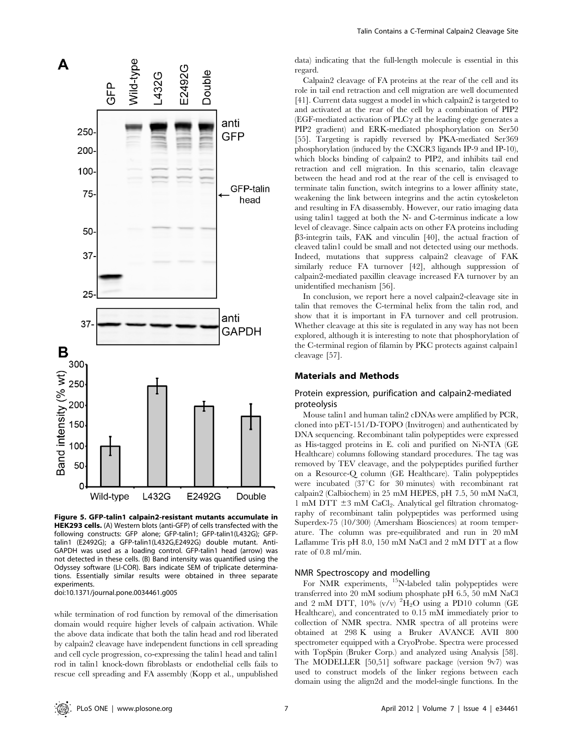

Figure 5. GFP-talin1 calpain2-resistant mutants accumulate in HEK293 cells. (A) Western blots (anti-GFP) of cells transfected with the following constructs: GFP alone; GFP-talin1; GFP-talin1(L432G); GFPtalin1 (E2492G); a GFP-talin1(L432G,E2492G) double mutant. Anti-GAPDH was used as a loading control. GFP-talin1 head (arrow) was not detected in these cells. (B) Band intensity was quantified using the Odyssey software (LI-COR). Bars indicate SEM of triplicate determinations. Essentially similar results were obtained in three separate experiments.

doi:10.1371/journal.pone.0034461.g005

while termination of rod function by removal of the dimerisation domain would require higher levels of calpain activation. While the above data indicate that both the talin head and rod liberated by calpain2 cleavage have independent functions in cell spreading and cell cycle progression, co-expressing the talin1 head and talin1 rod in talin1 knock-down fibroblasts or endothelial cells fails to rescue cell spreading and FA assembly (Kopp et al., unpublished data) indicating that the full-length molecule is essential in this regard.

Calpain2 cleavage of FA proteins at the rear of the cell and its role in tail end retraction and cell migration are well documented [41]. Current data suggest a model in which calpain2 is targeted to and activated at the rear of the cell by a combination of PIP2 (EGF-mediated activation of PLC $\gamma$  at the leading edge generates a PIP2 gradient) and ERK-mediated phosphorylation on Ser50 [55]. Targeting is rapidly reversed by PKA-mediated Ser369 phosphorylation (induced by the CXCR3 ligands IP-9 and IP-10), which blocks binding of calpain2 to PIP2, and inhibits tail end retraction and cell migration. In this scenario, talin cleavage between the head and rod at the rear of the cell is envisaged to terminate talin function, switch integrins to a lower affinity state, weakening the link between integrins and the actin cytoskeleton and resulting in FA disassembly. However, our ratio imaging data using talin1 tagged at both the N- and C-terminus indicate a low level of cleavage. Since calpain acts on other FA proteins including  $\beta$ 3-integrin tails, FAK and vinculin [40], the actual fraction of cleaved talin1 could be small and not detected using our methods. Indeed, mutations that suppress calpain2 cleavage of FAK similarly reduce FA turnover [42], although suppression of calpain2-mediated paxillin cleavage increased FA turnover by an unidentified mechanism [56].

In conclusion, we report here a novel calpain2-cleavage site in talin that removes the C-terminal helix from the talin rod, and show that it is important in FA turnover and cell protrusion. Whether cleavage at this site is regulated in any way has not been explored, although it is interesting to note that phosphorylation of the C-terminal region of filamin by PKC protects against calpain1 cleavage [57].

#### Materials and Methods

#### Protein expression, purification and calpain2-mediated proteolysis

Mouse talin1 and human talin2 cDNAs were amplified by PCR, cloned into pET-151/D-TOPO (Invitrogen) and authenticated by DNA sequencing. Recombinant talin polypeptides were expressed as His-tagged proteins in E. coli and purified on Ni-NTA (GE Healthcare) columns following standard procedures. The tag was removed by TEV cleavage, and the polypeptides purified further on a Resource-Q column (GE Healthcare). Talin polypeptides were incubated  $(37^{\circ}C)$  for 30 minutes) with recombinant rat calpain2 (Calbiochem) in 25 mM HEPES, pH 7.5, 50 mM NaCl, 1 mM DTT  $\pm 3$  mM CaCl<sub>2</sub>. Analytical gel filtration chromatography of recombinant talin polypeptides was performed using Superdex-75 (10/300) (Amersham Biosciences) at room temperature. The column was pre-equilibrated and run in 20 mM Laflamme Tris pH 8.0, 150 mM NaCl and 2 mM DTT at a flow rate of 0.8 ml/min.

#### NMR Spectroscopy and modelling

For NMR experiments, <sup>15</sup>N-labeled talin polypeptides were transferred into 20 mM sodium phosphate pH 6.5, 50 mM NaCl and 2 mM DTT, 10% (v/v)  ${}^{2}\text{H}_{2}\text{O}$  using a PD10 column (GE Healthcare), and concentrated to 0.15 mM immediately prior to collection of NMR spectra. NMR spectra of all proteins were obtained at 298 K using a Bruker AVANCE AVII 800 spectrometer equipped with a CryoProbe. Spectra were processed with TopSpin (Bruker Corp.) and analyzed using Analysis [58]. The MODELLER [50,51] software package (version 9v7) was used to construct models of the linker regions between each domain using the align2d and the model-single functions. In the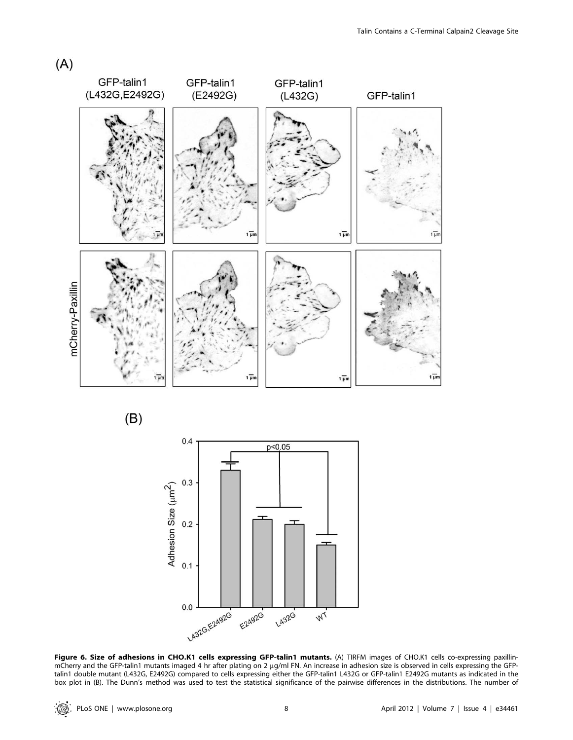





Figure 6. Size of adhesions in CHO.K1 cells expressing GFP-talin1 mutants. (A) TIRFM images of CHO.K1 cells co-expressing paxillinmCherry and the GFP-talin1 mutants imaged 4 hr after plating on 2 µg/ml FN. An increase in adhesion size is observed in cells expressing the GFPtalin1 double mutant (L432G, E2492G) compared to cells expressing either the GFP-talin1 L432G or GFP-talin1 E2492G mutants as indicated in the box plot in (B). The Dunn's method was used to test the statistical significance of the pairwise differences in the distributions. The number of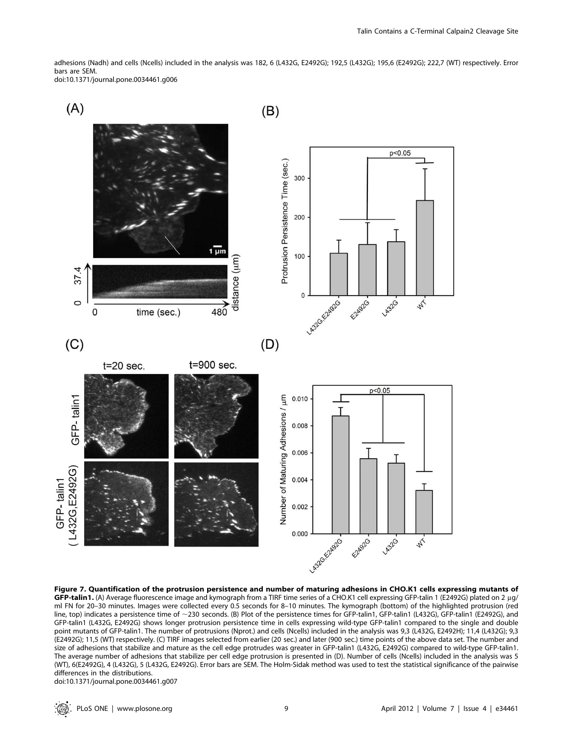adhesions (Nadh) and cells (Ncells) included in the analysis was 182, 6 (L432G, E2492G); 192,5 (L432G); 195,6 (E2492G); 222,7 (WT) respectively. Error bars are SEM.

doi:10.1371/journal.pone.0034461.g006



Figure 7. Quantification of the protrusion persistence and number of maturing adhesions in CHO.K1 cells expressing mutants of GFP-talin1. (A) Average fluorescence image and kymograph from a TIRF time series of a CHO.K1 cell expressing GFP-talin 1 (E2492G) plated on 2 µg/ ml FN for 20–30 minutes. Images were collected every 0.5 seconds for 8–10 minutes. The kymograph (bottom) of the highlighted protrusion (red line, top) indicates a persistence time of  $\sim$ 230 seconds. (B) Plot of the persistence times for GFP-talin1, GFP-talin1 (L432G), GFP-talin1 (E2492G), and GFP-talin1 (L432G, E2492G) shows longer protrusion persistence time in cells expressing wild-type GFP-talin1 compared to the single and double point mutants of GFP-talin1. The number of protrusions (Nprot.) and cells (Ncells) included in the analysis was 9,3 (L432G, E2492H); 11,4 (L432G); 9,3 (E2492G); 11,5 (WT) respectively. (C) TIRF images selected from earlier (20 sec.) and later (900 sec.) time points of the above data set. The number and size of adhesions that stabilize and mature as the cell edge protrudes was greater in GFP-talin1 (L432G, E2492G) compared to wild-type GFP-talin1. The average number of adhesions that stabilize per cell edge protrusion is presented in (D). Number of cells (Ncells) included in the analysis was 5 (WT), 6(E2492G), 4 (L432G), 5 (L432G, E2492G). Error bars are SEM. The Holm-Sidak method was used to test the statistical significance of the pairwise differences in the distributions.

doi:10.1371/journal.pone.0034461.g007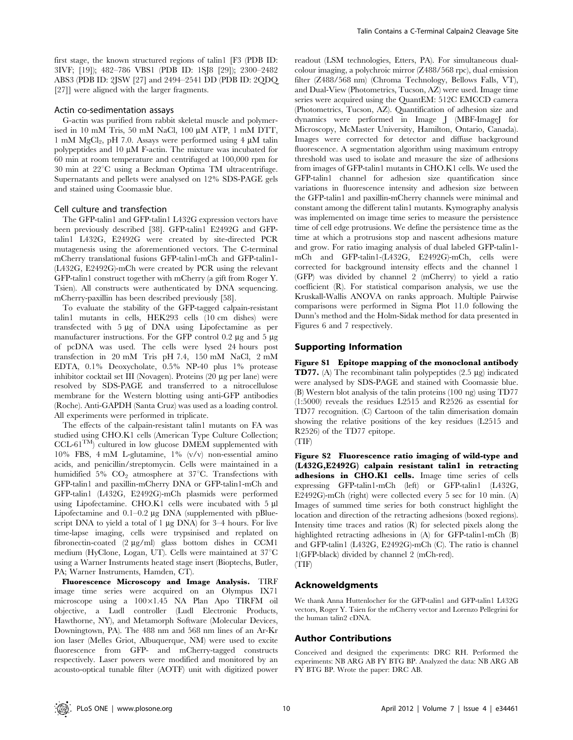first stage, the known structured regions of talin1 [F3 (PDB ID: 3IVF; [19]); 482–786 VBS1 (PDB ID: 1SJ8 [29]); 2300–2482 ABS3 (PDB ID: 2JSW [27] and 2494–2541 DD (PDB ID: 2QDQ [27]] were aligned with the larger fragments.

#### Actin co-sedimentation assays

G-actin was purified from rabbit skeletal muscle and polymerised in  $10 \text{ mM}$  Tris,  $50 \text{ mM}$  NaCl,  $100 \mu \text{M}$  ATP,  $1 \text{ mM}$  DTT, 1 mM MgCl<sub>2</sub>, pH 7.0. Assays were performed using  $4 \mu M$  talin polypeptides and  $10 \mu M$  F-actin. The mixture was incubated for 60 min at room temperature and centrifuged at 100,000 rpm for  $30 \text{ min}$  at  $22^{\circ}$ C using a Beckman Optima TM ultracentrifuge. Supernatants and pellets were analysed on 12% SDS-PAGE gels and stained using Coomassie blue.

#### Cell culture and transfection

The GFP-talin1 and GFP-talin1 L432G expression vectors have been previously described [38]. GFP-talin1 E2492G and GFPtalin1 L432G, E2492G were created by site-directed PCR mutagenesis using the aforementioned vectors. The C-terminal mCherry translational fusions GFP-talin1-mCh and GFP-talin1- (L432G, E2492G)-mCh were created by PCR using the relevant GFP-talin1 construct together with mCherry (a gift from Roger Y. Tsien). All constructs were authenticated by DNA sequencing. mCherry-paxillin has been described previously [58].

To evaluate the stability of the GFP-tagged calpain-resistant talin1 mutants in cells, HEK293 cells (10 cm dishes) were transfected with  $5 \mu g$  of DNA using Lipofectamine as per manufacturer instructions. For the GFP control  $0.2 \mu$ g and  $5 \mu$ g of pcDNA was used. The cells were lysed 24 hours post transfection in 20 mM Tris pH 7.4, 150 mM NaCl, 2 mM EDTA, 0.1% Deoxycholate, 0.5% NP-40 plus 1% protease inhibitor cocktail set III (Novagen). Proteins (20 µg per lane) were resolved by SDS-PAGE and transferred to a nitrocellulose membrane for the Western blotting using anti-GFP antibodies (Roche). Anti-GAPDH (Santa Cruz) was used as a loading control. All experiments were performed in triplicate.

The effects of the calpain-resistant talin1 mutants on FA was studied using CHO.K1 cells (American Type Culture Collection;  $CCL-61<sup>TM</sup>$  cultured in low glucose DMEM supplemented with 10% FBS, 4 mM L-glutamine, 1% (v/v) non-essential amino acids, and penicillin/streptomycin. Cells were maintained in a humidified 5%  $CO<sub>2</sub>$  atmosphere at 37°C. Transfections with GFP-talin1 and paxillin-mCherry DNA or GFP-talin1-mCh and GFP-talin1 (L432G, E2492G)-mCh plasmids were performed using Lipofectamine. CHO.K1 cells were incubated with 5 µl Lipofectamine and  $0.1-0.2 \mu g$  DNA (supplemented with pBluescript DNA to yield a total of  $1 \mu g$  DNA) for  $3-4$  hours. For live time-lapse imaging, cells were trypsinised and replated on fibronectin-coated  $(2 \mu g/ml)$  glass bottom dishes in CCM1 medium (HyClone, Logan, UT). Cells were maintained at  $37^{\circ}$ C using a Warner Instruments heated stage insert (Bioptechs, Butler, PA; Warner Instruments, Hamden, CT).

Fluorescence Microscopy and Image Analysis. TIRF image time series were acquired on an Olympus IX71 microscope using a  $100\times1.45$  NA Plan Apo TIRFM oil objective, a Ludl controller (Ludl Electronic Products, Hawthorne, NY), and Metamorph Software (Molecular Devices, Downingtown, PA). The 488 nm and 568 nm lines of an Ar-Kr ion laser (Melles Griot, Albuquerque, NM) were used to excite fluorescence from GFP- and mCherry-tagged constructs respectively. Laser powers were modified and monitored by an acousto-optical tunable filter (AOTF) unit with digitized power

readout (LSM technologies, Etters, PA). For simultaneous dualcolour imaging, a polychroic mirror (Z488/568 rpc), dual emission filter (Z488/568 nm) (Chroma Technology, Bellows Falls, VT), and Dual-View (Photometrics, Tucson, AZ) were used. Image time series were acquired using the QuantEM: 512C EMCCD camera (Photometrics, Tucson, AZ). Quantification of adhesion size and dynamics were performed in Image J (MBF-ImageJ for Microscopy, McMaster University, Hamilton, Ontario, Canada). Images were corrected for detector and diffuse background fluorescence. A segmentation algorithm using maximum entropy threshold was used to isolate and measure the size of adhesions from images of GFP-talin1 mutants in CHO.K1 cells. We used the GFP-talin1 channel for adhesion size quantification since variations in fluorescence intensity and adhesion size between the GFP-talin1 and paxillin-mCherry channels were minimal and constant among the different talin1 mutants. Kymography analysis was implemented on image time series to measure the persistence time of cell edge protrusions. We define the persistence time as the time at which a protrusions stop and nascent adhesions mature and grow. For ratio imaging analysis of dual labeled GFP-talin1 mCh and GFP-talin1-(L432G, E2492G)-mCh, cells were corrected for background intensity effects and the channel 1 (GFP) was divided by channel 2 (mCherry) to yield a ratio coefficient (R). For statistical comparison analysis, we use the Kruskall-Wallis ANOVA on ranks approach. Multiple Pairwise comparisons were performed in Sigma Plot 11.0 following the Dunn's method and the Holm-Sidak method for data presented in Figures 6 and 7 respectively.

#### Supporting Information

Figure S1 Epitope mapping of the monoclonal antibody **TD77.** (A) The recombinant talin polypeptides  $(2.5 \mu g)$  indicated were analysed by SDS-PAGE and stained with Coomassie blue. (B) Western blot analysis of the talin proteins (100 ng) using TD77 (1:5000) reveals the residues L2515 and R2526 as essential for TD77 recognition. (C) Cartoon of the talin dimerisation domain showing the relative positions of the key residues (L2515 and R2526) of the TD77 epitope.



Figure S2 Fluorescence ratio imaging of wild-type and (L432G,E2492G) calpain resistant talin1 in retracting adhesions in CHO.K1 cells. Image time series of cells expressing GFP-talin1-mCh (left) or GFP-talin1 (L432G, E2492G)-mCh (right) were collected every 5 sec for 10 min. (A) Images of summed time series for both construct highlight the location and direction of the retracting adhesions (boxed regions). Intensity time traces and ratios (R) for selected pixels along the highlighted retracting adhesions in (A) for GFP-talin1-mCh (B) and GFP-talin1 (L432G, E2492G)-mCh (C). The ratio is channel 1(GFP-black) divided by channel 2 (mCh-red). (TIF)

#### Acknoweldgments

We thank Anna Huttenlocher for the GFP-talin1 and GFP-talin1 L432G vectors, Roger Y. Tsien for the mCherry vector and Lorenzo Pellegrini for the human talin2 cDNA.

#### Author Contributions

Conceived and designed the experiments: DRC RH. Performed the experiments: NB ARG AB FY BTG BP. Analyzed the data: NB ARG AB FY BTG BP. Wrote the paper: DRC AB.